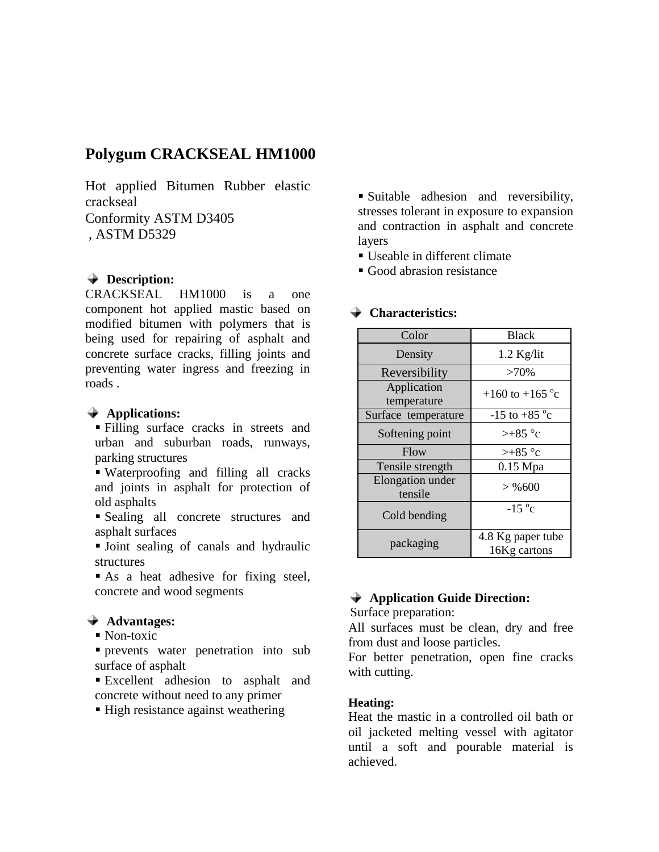# **Polygum CRACKSEAL HM1000**

Hot applied Bitumen Rubber elastic crackseal Conformity ASTM D3405

, ASTM D5329

### **Description:**

CRACKSEAL HM1000 is a one component hot applied mastic based on modified bitumen with polymers that is being used for repairing of asphalt and concrete surface cracks, filling joints and preventing water ingress and freezing in roads .

#### **Applications:**

 Filling surface cracks in streets and urban and suburban roads, runways, parking structures

 Waterproofing and filling all cracks and joints in asphalt for protection of old asphalts

 Sealing all concrete structures and asphalt surfaces

 Joint sealing of canals and hydraulic structures

As a heat adhesive for fixing steel, concrete and wood segments

#### **Advantages:**

• Non-toxic

 prevents water penetration into sub surface of asphalt

 Excellent adhesion to asphalt and concrete without need to any primer

■ High resistance against weathering

 Suitable adhesion and reversibility, stresses tolerant in exposure to expansion and contraction in asphalt and concrete layers

- Useable in different climate
- Good abrasion resistance

## Color Black Density 1.2 Kg/lit Reversibility >70% Application Application  $+160$  to  $+165$  °c Surface temperature  $-15$  to  $+85$  °c Softening point  $\vert$  >+85 °c Flow  $\vert$   $> +85$  °c Tensile strength  $0.15$  Mpa Elongation under  $\begin{array}{l}\n\text{gaiton under} \\
\text{tensile}\n\end{array} \n\Rightarrow \%600$ Cold bending  $-15^{\circ}c$ packaging  $4.8$  Kg paper tube 16Kg cartons

#### **Characteristics:**

## **Application Guide Direction:**

Surface preparation:

All surfaces must be clean, dry and free from dust and loose particles.

For better penetration, open fine cracks with cutting.

#### **Heating:**

Heat the mastic in a controlled oil bath or oil jacketed melting vessel with agitator until a soft and pourable material is achieved.